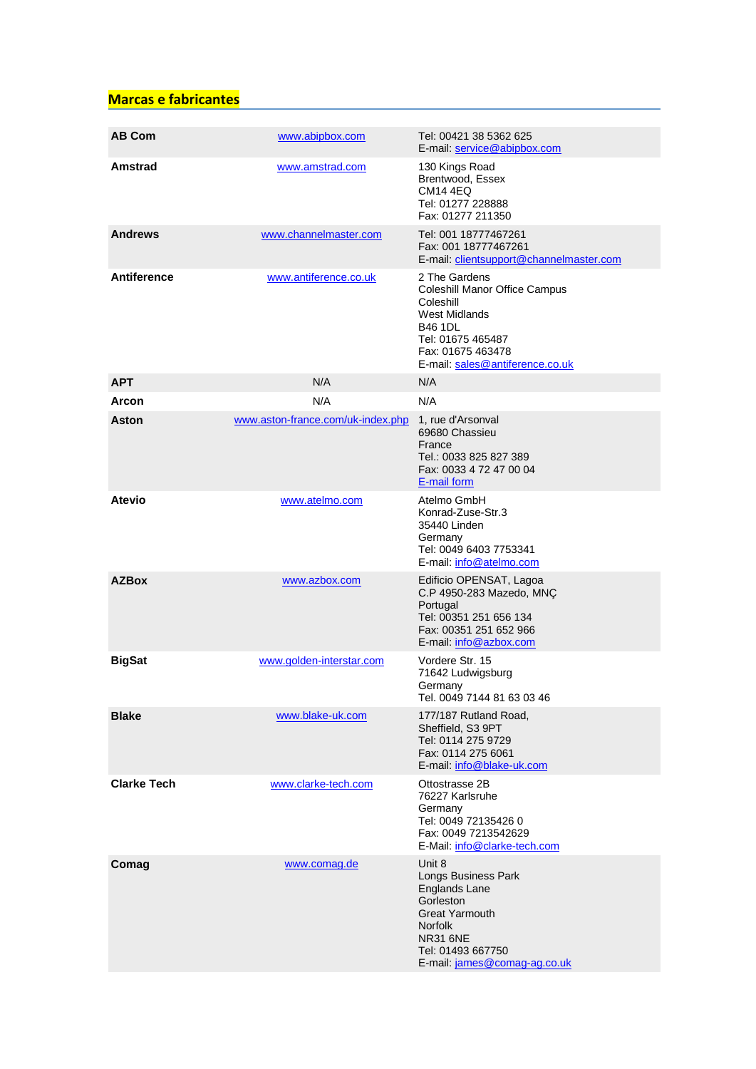## **Marcas e fabricantes**

| <b>AB Com</b>      | www.abipbox.com                   | Tel: 00421 38 5362 625<br>E-mail: service@abipbox.com                                                                                                                                 |
|--------------------|-----------------------------------|---------------------------------------------------------------------------------------------------------------------------------------------------------------------------------------|
| Amstrad            | www.amstrad.com                   | 130 Kings Road<br>Brentwood, Essex<br><b>CM14 4EQ</b><br>Tel: 01277 228888<br>Fax: 01277 211350                                                                                       |
| <b>Andrews</b>     | www.channelmaster.com             | Tel: 001 18777467261<br>Fax: 001 18777467261<br>E-mail: clientsupport@channelmaster.com                                                                                               |
| <b>Antiference</b> | www.antiference.co.uk             | 2 The Gardens<br>Coleshill Manor Office Campus<br>Coleshill<br><b>West Midlands</b><br><b>B46 1DL</b><br>Tel: 01675 465487<br>Fax: 01675 463478<br>E-mail: sales@antiference.co.uk    |
| <b>APT</b>         | N/A                               | N/A                                                                                                                                                                                   |
| <b>Arcon</b>       | N/A                               | N/A                                                                                                                                                                                   |
| <b>Aston</b>       | www.aston-france.com/uk-index.php | 1, rue d'Arsonval<br>69680 Chassieu<br>France<br>Tel.: 0033 825 827 389<br>Fax: 0033 4 72 47 00 04<br>E-mail form                                                                     |
| <b>Atevio</b>      | www.atelmo.com                    | Atelmo GmbH<br>Konrad-Zuse-Str.3<br>35440 Linden<br>Germany<br>Tel: 0049 6403 7753341<br>E-mail: info@atelmo.com                                                                      |
| <b>AZBox</b>       | www.azbox.com                     | Edificio OPENSAT, Lagoa<br>C.P 4950-283 Mazedo, MNÇ<br>Portugal<br>Tel: 00351 251 656 134<br>Fax: 00351 251 652 966<br>E-mail: info@azbox.com                                         |
| <b>BigSat</b>      | www.golden-interstar.com          | Vordere Str. 15<br>71642 Ludwigsburg<br>Germanv<br>Tel. 0049 7144 81 63 03 46                                                                                                         |
| <b>Blake</b>       | www.blake-uk.com                  | 177/187 Rutland Road.<br>Sheffield, S3 9PT<br>Tel: 0114 275 9729<br>Fax: 0114 275 6061<br>E-mail: info@blake-uk.com                                                                   |
| <b>Clarke Tech</b> | www.clarke-tech.com               | Ottostrasse 2B<br>76227 Karlsruhe<br>Germany<br>Tel: 0049 72135426 0<br>Fax: 0049 7213542629<br>E-Mail: info@clarke-tech.com                                                          |
| Comag              | www.comag.de                      | Unit 8<br>Longs Business Park<br><b>Englands Lane</b><br>Gorleston<br><b>Great Yarmouth</b><br><b>Norfolk</b><br><b>NR31 6NE</b><br>Tel: 01493 667750<br>E-mail: james@comag-ag.co.uk |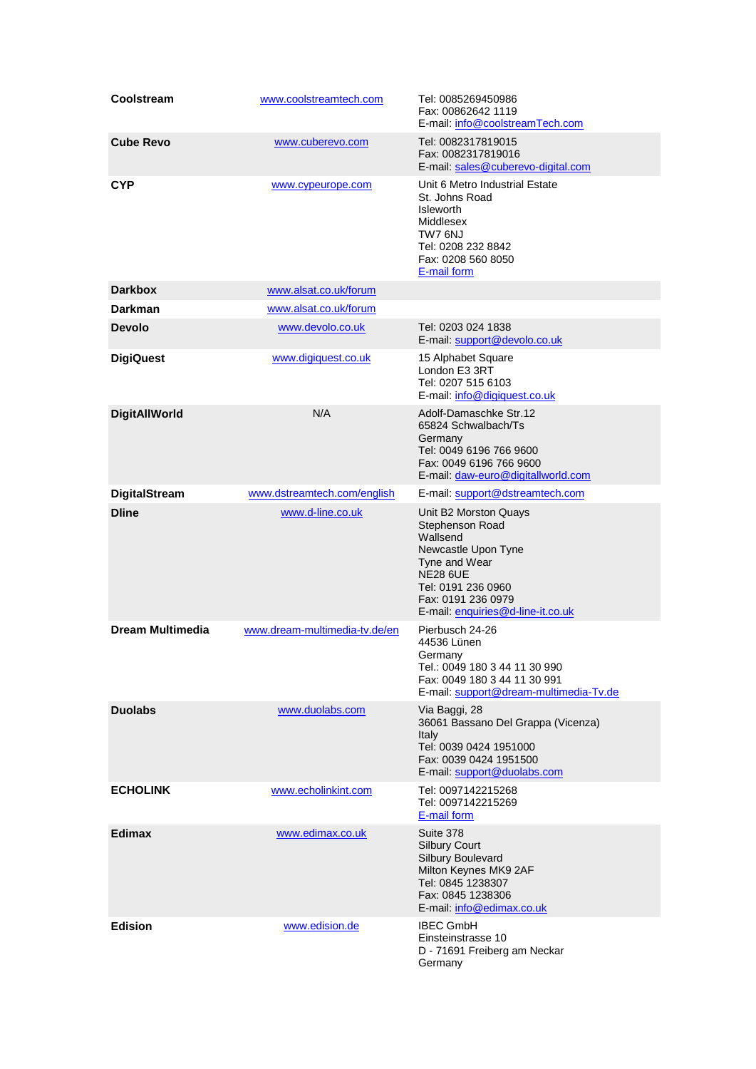| Coolstream           | www.coolstreamtech.com        | Tel: 0085269450986<br>Fax: 00862642 1119<br>E-mail: info@coolstreamTech.com                                                                                                                      |
|----------------------|-------------------------------|--------------------------------------------------------------------------------------------------------------------------------------------------------------------------------------------------|
| <b>Cube Revo</b>     | www.cuberevo.com              | Tel: 0082317819015<br>Fax: 0082317819016<br>E-mail: sales@cuberevo-digital.com                                                                                                                   |
| <b>CYP</b>           | www.cypeurope.com             | Unit 6 Metro Industrial Estate<br>St. Johns Road<br><b>Isleworth</b><br>Middlesex<br>TW7 6NJ<br>Tel: 0208 232 8842<br>Fax: 0208 560 8050<br>E-mail form                                          |
| <b>Darkbox</b>       | www.alsat.co.uk/forum         |                                                                                                                                                                                                  |
| <b>Darkman</b>       | www.alsat.co.uk/forum         |                                                                                                                                                                                                  |
| <b>Devolo</b>        | www.devolo.co.uk              | Tel: 0203 024 1838<br>E-mail: support@devolo.co.uk                                                                                                                                               |
| <b>DigiQuest</b>     | www.digiquest.co.uk           | 15 Alphabet Square<br>London E3 3RT<br>Tel: 0207 515 6103<br>E-mail: info@digiquest.co.uk                                                                                                        |
| <b>DigitAllWorld</b> | N/A                           | Adolf-Damaschke Str.12<br>65824 Schwalbach/Ts<br>Germany<br>Tel: 0049 6196 766 9600<br>Fax: 0049 6196 766 9600<br>E-mail: daw-euro@digitallworld.com                                             |
| <b>DigitalStream</b> | www.dstreamtech.com/english   | E-mail: support@dstreamtech.com                                                                                                                                                                  |
| <b>Dline</b>         | www.d-line.co.uk              | Unit B2 Morston Quays<br>Stephenson Road<br>Wallsend<br>Newcastle Upon Tyne<br>Tyne and Wear<br><b>NE28 6UE</b><br>Tel: 0191 236 0960<br>Fax: 0191 236 0979<br>E-mail: enquiries@d-line-it.co.uk |
| Dream Multimedia     | www.dream-multimedia-tv.de/en | Pierbusch 24-26<br>44536 Lünen<br>Germany<br>Tel.: 0049 180 3 44 11 30 990<br>Fax: 0049 180 3 44 11 30 991<br>E-mail: support@dream-multimedia-Tv.de                                             |
| <b>Duolabs</b>       | www.duolabs.com               | Via Baggi, 28<br>36061 Bassano Del Grappa (Vicenza)<br>Italy<br>Tel: 0039 0424 1951000<br>Fax: 0039 0424 1951500<br>E-mail: support@duolabs.com                                                  |
| <b>ECHOLINK</b>      | www.echolinkint.com           | Tel: 0097142215268<br>Tel: 0097142215269<br>E-mail form                                                                                                                                          |
| <b>Edimax</b>        | www.edimax.co.uk              | Suite 378<br><b>Silbury Court</b><br>Silbury Boulevard<br>Milton Keynes MK9 2AF<br>Tel: 0845 1238307<br>Fax: 0845 1238306<br>E-mail: info@edimax.co.uk                                           |
| <b>Edision</b>       | www.edision.de                | <b>IBEC GmbH</b><br>Einsteinstrasse 10<br>D - 71691 Freiberg am Neckar<br>Germany                                                                                                                |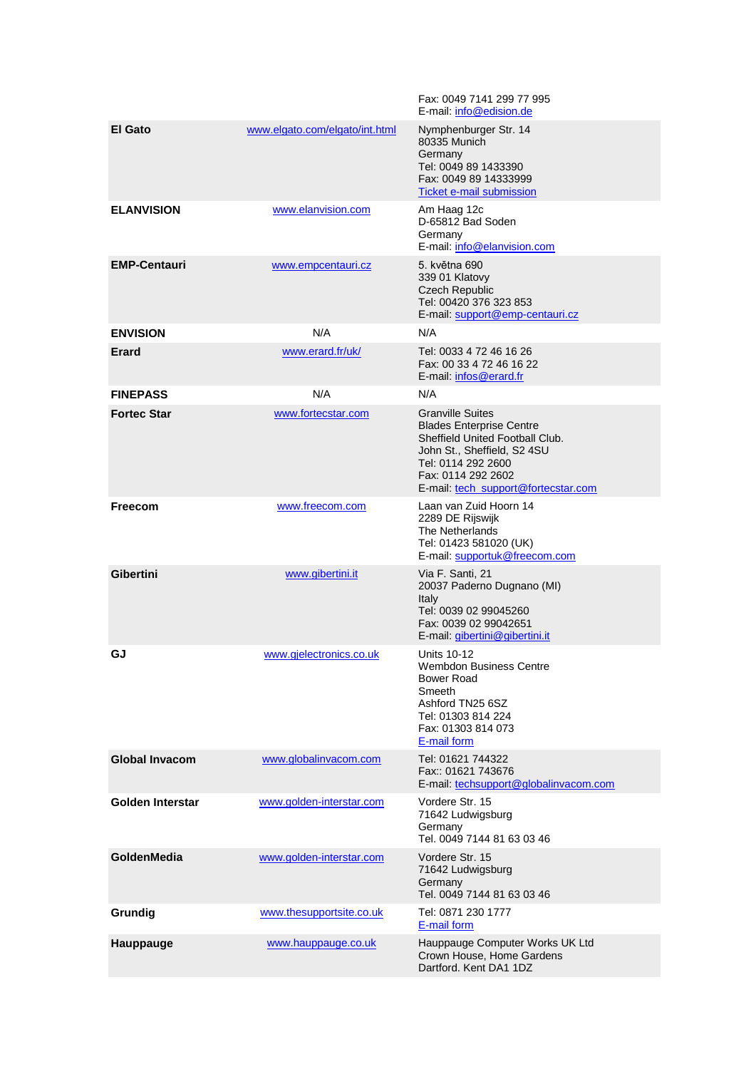|                       |                                | Fax: 0049 7141 299 77 995<br>E-mail: info@edision.de                                                                                                                                                            |
|-----------------------|--------------------------------|-----------------------------------------------------------------------------------------------------------------------------------------------------------------------------------------------------------------|
| <b>El Gato</b>        | www.elgato.com/elgato/int.html | Nymphenburger Str. 14<br>80335 Munich<br>Germany<br>Tel: 0049 89 1433390<br>Fax: 0049 89 14333999<br><b>Ticket e-mail submission</b>                                                                            |
| <b>ELANVISION</b>     | www.elanvision.com             | Am Haag 12c<br>D-65812 Bad Soden<br>Germany<br>E-mail: info@elanvision.com                                                                                                                                      |
| <b>EMP-Centauri</b>   | www.empcentauri.cz             | 5. května 690<br>339 01 Klatovy<br><b>Czech Republic</b><br>Tel: 00420 376 323 853<br>E-mail: support@emp-centauri.cz                                                                                           |
| <b>ENVISION</b>       | N/A                            | N/A                                                                                                                                                                                                             |
| <b>Erard</b>          | www.erard.fr/uk/               | Tel: 0033 4 72 46 16 26<br>Fax: 00 33 4 72 46 16 22<br>E-mail: infos@erard.fr                                                                                                                                   |
| <b>FINEPASS</b>       | N/A                            | N/A                                                                                                                                                                                                             |
| <b>Fortec Star</b>    | www.fortecstar.com             | <b>Granville Suites</b><br><b>Blades Enterprise Centre</b><br>Sheffield United Football Club.<br>John St., Sheffield, S2 4SU<br>Tel: 0114 292 2600<br>Fax: 0114 292 2602<br>E-mail: tech_support@fortecstar.com |
| Freecom               | www.freecom.com                | Laan van Zuid Hoorn 14<br>2289 DE Rijswijk<br>The Netherlands<br>Tel: 01423 581020 (UK)<br>E-mail: supportuk@freecom.com                                                                                        |
| <b>Gibertini</b>      | www.gibertini.it               | Via F. Santi, 21<br>20037 Paderno Dugnano (MI)<br>Italy<br>Tel: 0039 02 99045260<br>Fax: 0039 02 99042651<br>E-mail: <i>gibertini@gibertini.it</i>                                                              |
| GJ                    | www.gjelectronics.co.uk        | <b>Units 10-12</b><br>Wembdon Business Centre<br>Bower Road<br>Smeeth<br>Ashford TN25 6SZ<br>Tel: 01303 814 224<br>Fax: 01303 814 073<br>E-mail form                                                            |
| <b>Global Invacom</b> | www.globalinyacom.com          | Tel: 01621 744322<br>Fax:: 01621 743676<br>E-mail: techsupport@globalinvacom.com                                                                                                                                |
| Golden Interstar      | www.golden-interstar.com       | Vordere Str. 15<br>71642 Ludwigsburg<br>Germany<br>Tel. 0049 7144 81 63 03 46                                                                                                                                   |
| GoldenMedia           | www.golden-interstar.com       | Vordere Str. 15<br>71642 Ludwigsburg<br>Germany<br>Tel. 0049 7144 81 63 03 46                                                                                                                                   |
| Grundig               | www.thesupportsite.co.uk       | Tel: 0871 230 1777<br>E-mail form                                                                                                                                                                               |
| Hauppauge             | www.hauppauge.co.uk            | Hauppauge Computer Works UK Ltd<br>Crown House, Home Gardens<br>Dartford, Kent DA1 1DZ                                                                                                                          |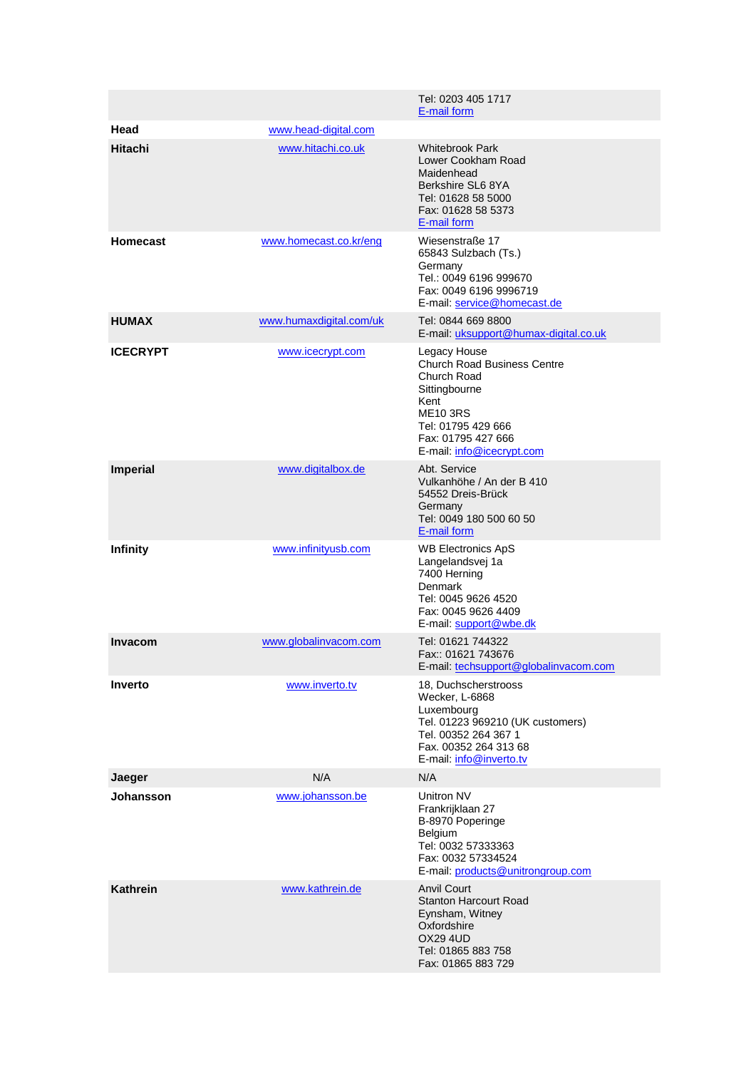|                 |                         | Tel: 0203 405 1717<br>E-mail form                                                                                                                                                      |
|-----------------|-------------------------|----------------------------------------------------------------------------------------------------------------------------------------------------------------------------------------|
| Head            | www.head-digital.com    |                                                                                                                                                                                        |
| <b>Hitachi</b>  | www.hitachi.co.uk       | <b>Whitebrook Park</b><br>Lower Cookham Road<br>Maidenhead<br>Berkshire SL6 8YA<br>Tel: 01628 58 5000<br>Fax: 01628 58 5373<br>E-mail form                                             |
| <b>Homecast</b> | www.homecast.co.kr/eng  | Wiesenstraße 17<br>65843 Sulzbach (Ts.)<br>Germany<br>Tel.: 0049 6196 999670<br>Fax: 0049 6196 9996719<br>E-mail: service@homecast.de                                                  |
| <b>HUMAX</b>    | www.humaxdigital.com/uk | Tel: 0844 669 8800<br>E-mail: uksupport@humax-digital.co.uk                                                                                                                            |
| <b>ICECRYPT</b> | www.icecrypt.com        | Legacy House<br><b>Church Road Business Centre</b><br>Church Road<br>Sittingbourne<br>Kent<br><b>ME10 3RS</b><br>Tel: 01795 429 666<br>Fax: 01795 427 666<br>E-mail: info@icecrypt.com |
| <b>Imperial</b> | www.digitalbox.de       | Abt. Service<br>Vulkanhöhe / An der B 410<br>54552 Dreis-Brück<br>Germany<br>Tel: 0049 180 500 60 50<br>E-mail form                                                                    |
| <b>Infinity</b> | www.infinityusb.com     | <b>WB Electronics ApS</b><br>Langelandsvej 1a<br>7400 Herning<br>Denmark<br>Tel: 0045 9626 4520<br>Fax: 0045 9626 4409<br>E-mail: support@wbe.dk                                       |
| <b>Invacom</b>  | www.globalinvacom.com   | Tel: 01621 744322<br>Fax:: 01621 743676<br>E-mail: techsupport@globalinvacom.com                                                                                                       |
| Inverto         | www.inverto.tv          | 18, Duchscherstrooss<br>Wecker, L-6868<br>Luxembourg<br>Tel. 01223 969210 (UK customers)<br>Tel. 00352 264 367 1<br>Fax. 00352 264 313 68<br>E-mail: info@inverto.tv                   |
| Jaeger          | N/A                     | N/A                                                                                                                                                                                    |
| Johansson       | www.johansson.be        | Unitron NV<br>Frankrijklaan 27<br>B-8970 Poperinge<br>Belgium<br>Tel: 0032 57333363<br>Fax: 0032 57334524<br>E-mail: products@unitrongroup.com                                         |
| Kathrein        | www.kathrein.de         | <b>Anvil Court</b><br><b>Stanton Harcourt Road</b><br>Eynsham, Witney<br>Oxfordshire<br><b>OX29 4UD</b><br>Tel: 01865 883 758<br>Fax: 01865 883 729                                    |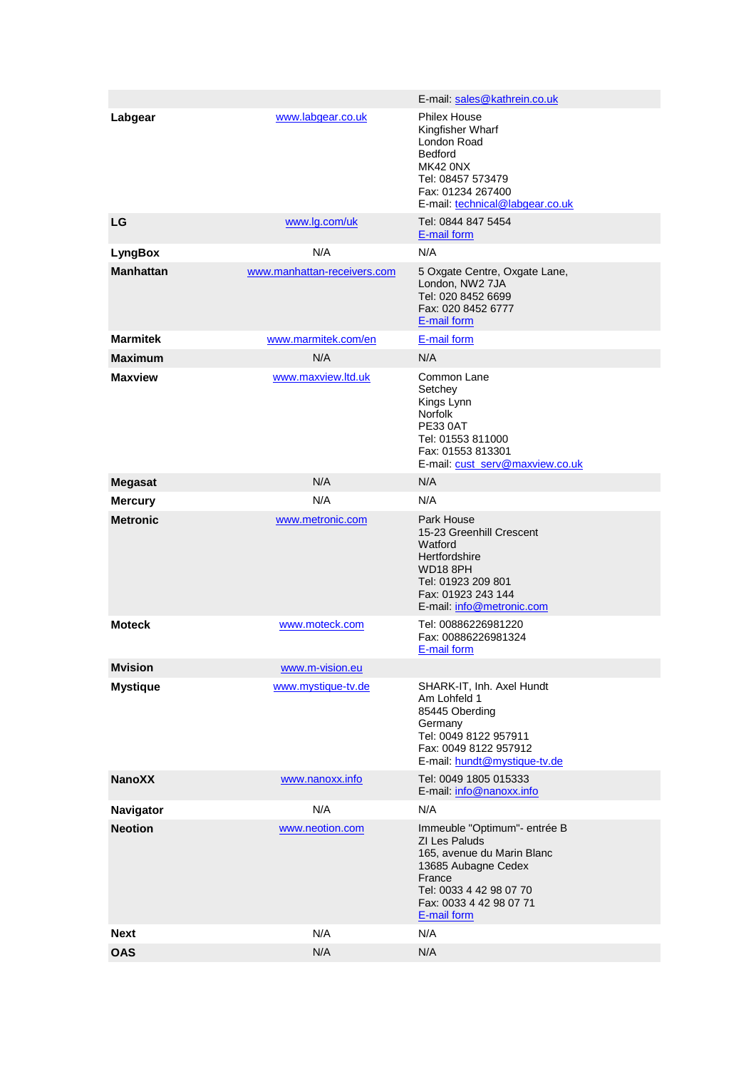|                  |                             | E-mail: sales@kathrein.co.uk                                                                                                                                                      |
|------------------|-----------------------------|-----------------------------------------------------------------------------------------------------------------------------------------------------------------------------------|
| Labgear          | www.labgear.co.uk           | <b>Philex House</b><br>Kingfisher Wharf<br>London Road<br>Bedford<br><b>MK42 0NX</b><br>Tel: 08457 573479<br>Fax: 01234 267400<br>E-mail: technical@labgear.co.uk                 |
| LG               | www.lg.com/uk               | Tel: 0844 847 5454<br>E-mail form                                                                                                                                                 |
| <b>LyngBox</b>   | N/A                         | N/A                                                                                                                                                                               |
| <b>Manhattan</b> | www.manhattan-receivers.com | 5 Oxgate Centre, Oxgate Lane,<br>London, NW2 7JA<br>Tel: 020 8452 6699<br>Fax: 020 8452 6777<br>E-mail form                                                                       |
| <b>Marmitek</b>  | www.marmitek.com/en         | E-mail form                                                                                                                                                                       |
| <b>Maximum</b>   | N/A                         | N/A                                                                                                                                                                               |
| <b>Maxview</b>   | www.maxview.ltd.uk          | Common Lane<br>Setchey<br>Kings Lynn<br>Norfolk<br><b>PE33 0AT</b><br>Tel: 01553 811000<br>Fax: 01553 813301<br>E-mail: cust_serv@maxview.co.uk                                   |
| <b>Megasat</b>   | N/A                         | N/A                                                                                                                                                                               |
| <b>Mercury</b>   | N/A                         | N/A                                                                                                                                                                               |
| <b>Metronic</b>  | www.metronic.com            | Park House<br>15-23 Greenhill Crescent<br>Watford<br>Hertfordshire<br><b>WD18 8PH</b><br>Tel: 01923 209 801<br>Fax: 01923 243 144<br>E-mail: info@metronic.com                    |
| <b>Moteck</b>    | www.moteck.com              | Tel: 00886226981220<br>Fax: 00886226981324<br>E-mail form                                                                                                                         |
| <b>Mvision</b>   | www.m-vision.eu             |                                                                                                                                                                                   |
| <b>Mystique</b>  | www.mystique-tv.de          | SHARK-IT, Inh. Axel Hundt<br>Am Lohfeld 1<br>85445 Oberding<br>Germany<br>Tel: 0049 8122 957911<br>Fax: 0049 8122 957912<br>E-mail: hundt@mystique-tv.de                          |
| <b>NanoXX</b>    | www.nanoxx.info             | Tel: 0049 1805 015333<br>E-mail: info@nanoxx.info                                                                                                                                 |
| Navigator        | N/A                         | N/A                                                                                                                                                                               |
| <b>Neotion</b>   | www.neotion.com             | Immeuble "Optimum"- entrée B<br>ZI Les Paluds<br>165, avenue du Marin Blanc<br>13685 Aubagne Cedex<br>France<br>Tel: 0033 4 42 98 07 70<br>Fax: 0033 4 42 98 07 71<br>E-mail form |
| <b>Next</b>      | N/A                         | N/A                                                                                                                                                                               |
| <b>OAS</b>       | N/A                         | N/A                                                                                                                                                                               |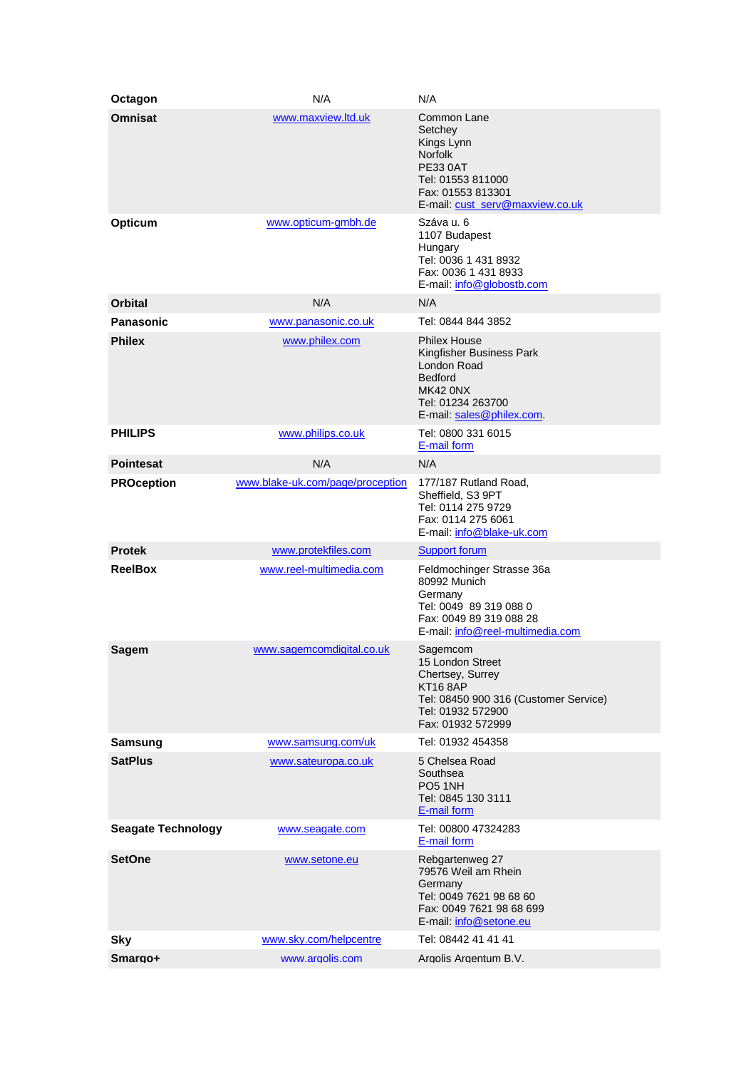| Octagon                   | N/A                              | N/A                                                                                                                                                    |
|---------------------------|----------------------------------|--------------------------------------------------------------------------------------------------------------------------------------------------------|
| <b>Omnisat</b>            | www.maxview.ltd.uk               | Common Lane<br>Setchey<br>Kings Lynn<br><b>Norfolk</b><br><b>PE33 0AT</b><br>Tel: 01553 811000<br>Fax: 01553 813301<br>E-mail: cust_serv@maxview.co.uk |
| Opticum                   | www.opticum-gmbh.de              | Száva u. 6<br>1107 Budapest<br>Hungary<br>Tel: 0036 1 431 8932<br>Fax: 0036 1 431 8933<br>E-mail: info@globostb.com                                    |
| Orbital                   | N/A                              | N/A                                                                                                                                                    |
| <b>Panasonic</b>          | www.panasonic.co.uk              | Tel: 0844 844 3852                                                                                                                                     |
| <b>Philex</b>             | www.philex.com                   | <b>Philex House</b><br>Kingfisher Business Park<br>London Road<br><b>Bedford</b><br>MK42 ONX<br>Tel: 01234 263700<br>E-mail: sales@philex.com.         |
| <b>PHILIPS</b>            | www.philips.co.uk                | Tel: 0800 331 6015<br>E-mail form                                                                                                                      |
| <b>Pointesat</b>          | N/A                              | N/A                                                                                                                                                    |
| <b>PROception</b>         | www.blake-uk.com/page/proception | 177/187 Rutland Road,<br>Sheffield, S3 9PT<br>Tel: 0114 275 9729<br>Fax: 0114 275 6061<br>E-mail: info@blake-uk.com                                    |
| <b>Protek</b>             | www.protekfiles.com              | <b>Support forum</b>                                                                                                                                   |
| <b>ReelBox</b>            | www.reel-multimedia.com          | Feldmochinger Strasse 36a<br>80992 Munich<br>Germany<br>Tel: 0049 89 319 088 0<br>Fax: 0049 89 319 088 28<br>E-mail: info@reel-multimedia.com          |
| <b>Sagem</b>              | www.sagemcomdigital.co.uk        | Sagemcom<br>15 London Street<br>Chertsey, Surrey<br><b>KT16 8AP</b><br>Tel: 08450 900 316 (Customer Service)<br>Tel: 01932 572900<br>Fax: 01932 572999 |
| <b>Samsung</b>            | www.samsung.com/uk               | Tel: 01932 454358                                                                                                                                      |
| <b>SatPlus</b>            | www.sateuropa.co.uk              | 5 Chelsea Road<br>Southsea<br>PO <sub>5</sub> 1NH<br>Tel: 0845 130 3111<br>E-mail form                                                                 |
| <b>Seagate Technology</b> | www.seagate.com                  | Tel: 00800 47324283<br>E-mail form                                                                                                                     |
| <b>SetOne</b>             | www.setone.eu                    | Rebgartenweg 27<br>79576 Weil am Rhein<br>Germany<br>Tel: 0049 7621 98 68 60<br>Fax: 0049 7621 98 68 699<br>E-mail: info@setone.eu                     |
| <b>Sky</b>                | www.sky.com/helpcentre           | Tel: 08442 41 41 41                                                                                                                                    |
| Smargo+                   | www.argolis.com                  | Argolis Argentum B.V.                                                                                                                                  |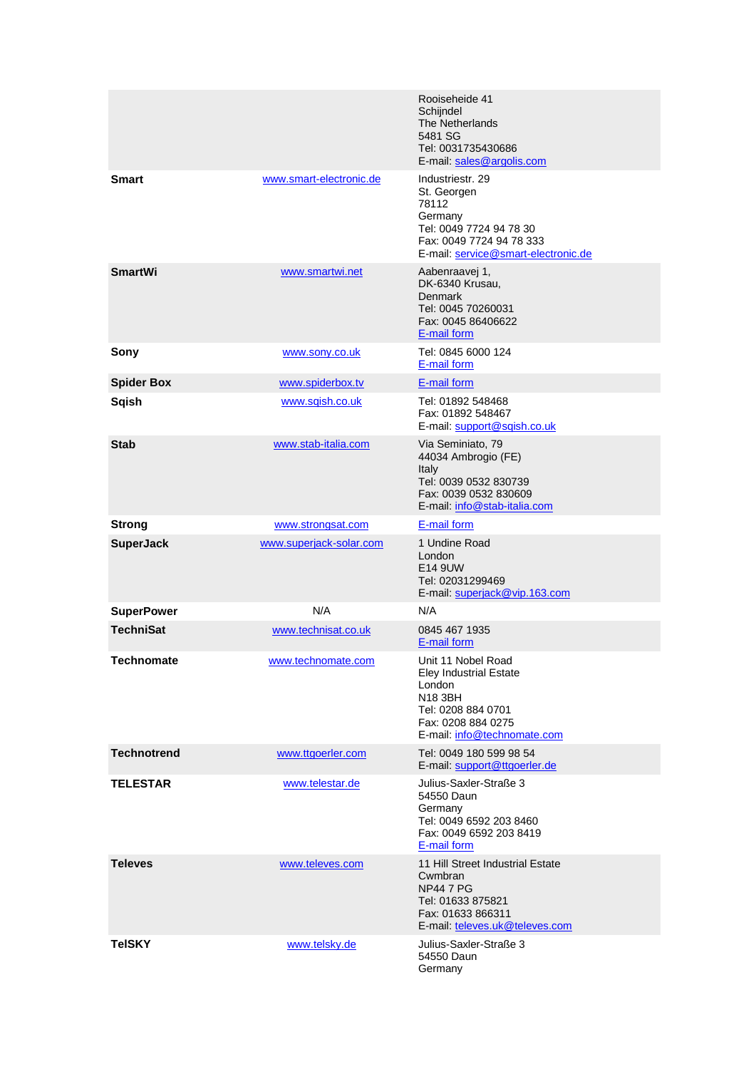|                    |                         | Rooiseheide 41<br>Schijndel<br>The Netherlands<br>5481 SG<br>Tel: 0031735430686<br>E-mail: sales@argolis.com                                        |
|--------------------|-------------------------|-----------------------------------------------------------------------------------------------------------------------------------------------------|
| <b>Smart</b>       | www.smart-electronic.de | Industriestr, 29<br>St. Georgen<br>78112<br>Germany<br>Tel: 0049 7724 94 78 30<br>Fax: 0049 7724 94 78 333<br>E-mail: service@smart-electronic.de   |
| <b>SmartWi</b>     | www.smartwi.net         | Aabenraavej 1,<br>DK-6340 Krusau,<br><b>Denmark</b><br>Tel: 0045 70260031<br>Fax: 0045 86406622<br>E-mail form                                      |
| Sony               | www.sony.co.uk          | Tel: 0845 6000 124<br>E-mail form                                                                                                                   |
| <b>Spider Box</b>  | www.spiderbox.tv        | E-mail form                                                                                                                                         |
| <b>Sqish</b>       | www.sqish.co.uk         | Tel: 01892 548468<br>Fax: 01892 548467<br>E-mail: support@sqish.co.uk                                                                               |
| <b>Stab</b>        | www.stab-italia.com     | Via Seminiato, 79<br>44034 Ambrogio (FE)<br>Italy<br>Tel: 0039 0532 830739<br>Fax: 0039 0532 830609<br>E-mail: info@stab-italia.com                 |
| <b>Strong</b>      | www.strongsat.com       | E-mail form                                                                                                                                         |
| <b>SuperJack</b>   | www.superjack-solar.com | 1 Undine Road<br>London<br>E14 9UW<br>Tel: 02031299469<br>E-mail: superjack@vip.163.com                                                             |
| <b>SuperPower</b>  | N/A                     | N/A                                                                                                                                                 |
| <b>TechniSat</b>   | www.technisat.co.uk     | 0845 467 1935<br>E-mail form                                                                                                                        |
| <b>Technomate</b>  | www.technomate.com      | Unit 11 Nobel Road<br><b>Eley Industrial Estate</b><br>London<br>N18 3BH<br>Tel: 0208 884 0701<br>Fax: 0208 884 0275<br>E-mail: info@technomate.com |
| <b>Technotrend</b> | www.ttgoerler.com       | Tel: 0049 180 599 98 54<br>E-mail: support@ttgoerler.de                                                                                             |
| <b>TELESTAR</b>    | www.telestar.de         | Julius-Saxler-Straße 3<br>54550 Daun<br>Germany<br>Tel: 0049 6592 203 8460<br>Fax: 0049 6592 203 8419<br>E-mail form                                |
| <b>Televes</b>     | www.televes.com         | 11 Hill Street Industrial Estate<br>Cwmbran<br><b>NP44 7 PG</b><br>Tel: 01633 875821<br>Fax: 01633 866311<br>E-mail: televes.uk@televes.com         |
| <b>TeISKY</b>      | www.telsky.de           | Julius-Saxler-Straße 3<br>54550 Daun<br>Germany                                                                                                     |